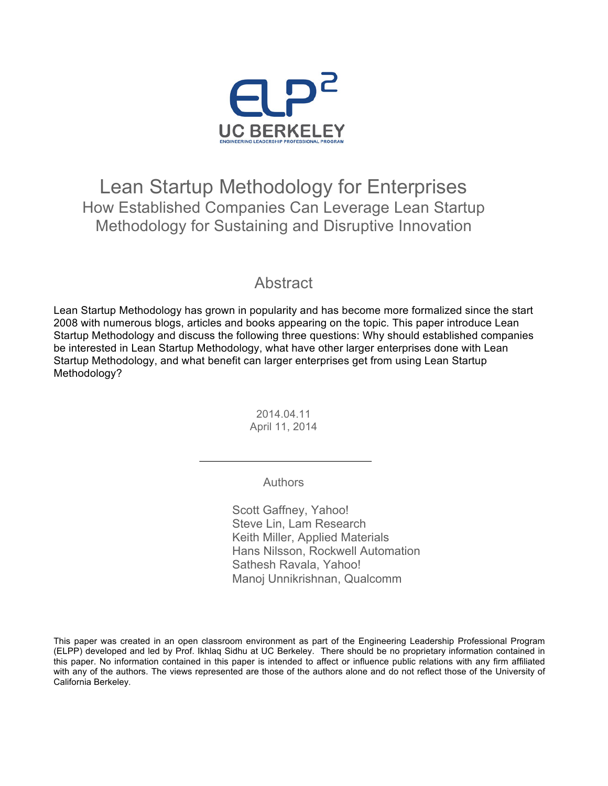

#### Lean Startup Methodology for Enterprises How Established Companies Can Leverage Lean Startup Methodology for Sustaining and Disruptive Innovation

#### **Abstract**

Lean Startup Methodology has grown in popularity and has become more formalized since the start 2008 with numerous blogs, articles and books appearing on the topic. This paper introduce Lean Startup Methodology and discuss the following three questions: Why should established companies be interested in Lean Startup Methodology, what have other larger enterprises done with Lean Startup Methodology, and what benefit can larger enterprises get from using Lean Startup Methodology?

> 2014.04.11 April 11, 2014

> > Authors

Scott Gaffney, Yahoo! Steve Lin, Lam Research Keith Miller, Applied Materials Hans Nilsson, Rockwell Automation Sathesh Ravala, Yahoo! Manoj Unnikrishnan, Qualcomm

This paper was created in an open classroom environment as part of the Engineering Leadership Professional Program (ELPP) developed and led by Prof. Ikhlaq Sidhu at UC Berkeley. There should be no proprietary information contained in this paper. No information contained in this paper is intended to affect or influence public relations with any firm affiliated with any of the authors. The views represented are those of the authors alone and do not reflect those of the University of California Berkeley.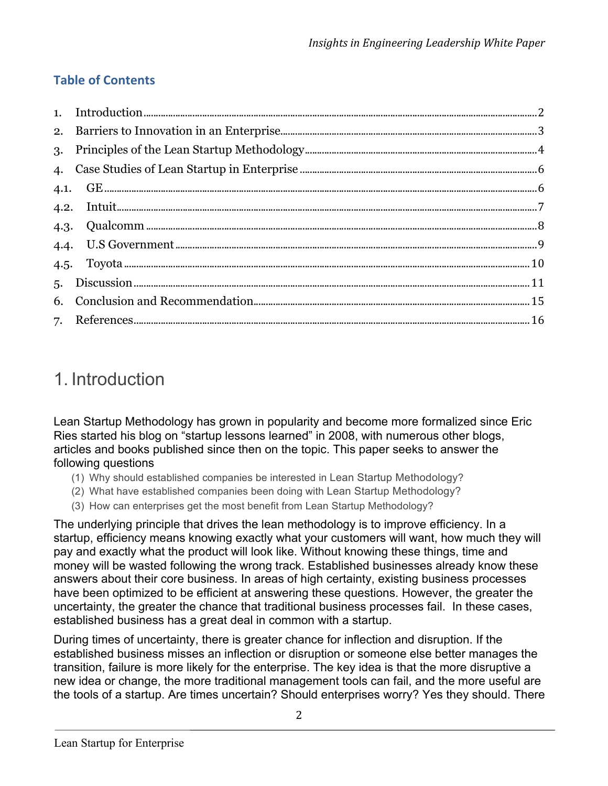#### **Table of Contents**

## 1. Introduction

Lean Startup Methodology has grown in popularity and become more formalized since Eric Ries started his blog on "startup lessons learned" in 2008, with numerous other blogs, articles and books published since then on the topic. This paper seeks to answer the following questions

- (1) Why should established companies be interested in Lean Startup Methodology?
- (2) What have established companies been doing with Lean Startup Methodology?
- (3) How can enterprises get the most benefit from Lean Startup Methodology?

The underlying principle that drives the lean methodology is to improve efficiency. In a startup, efficiency means knowing exactly what your customers will want, how much they will pay and exactly what the product will look like. Without knowing these things, time and money will be wasted following the wrong track. Established businesses already know these answers about their core business. In areas of high certainty, existing business processes have been optimized to be efficient at answering these questions. However, the greater the uncertainty, the greater the chance that traditional business processes fail. In these cases, established business has a great deal in common with a startup.

During times of uncertainty, there is greater chance for inflection and disruption. If the established business misses an inflection or disruption or someone else better manages the transition, failure is more likely for the enterprise. The key idea is that the more disruptive a new idea or change, the more traditional management tools can fail, and the more useful are the tools of a startup. Are times uncertain? Should enterprises worry? Yes they should. There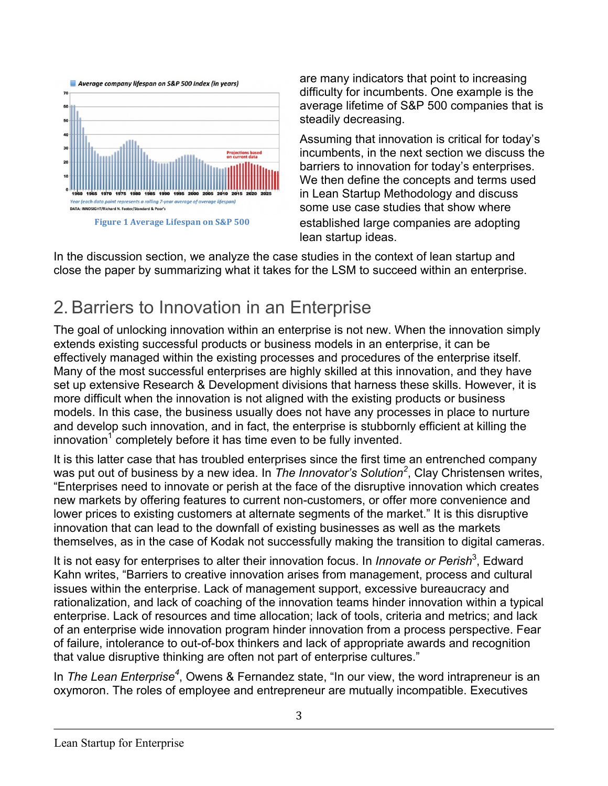

are many indicators that point to increasing difficulty for incumbents. One example is the average lifetime of S&P 500 companies that is steadily decreasing.

Assuming that innovation is critical for today's incumbents, in the next section we discuss the barriers to innovation for today's enterprises. We then define the concepts and terms used in Lean Startup Methodology and discuss some use case studies that show where established large companies are adopting lean startup ideas.

In the discussion section, we analyze the case studies in the context of lean startup and close the paper by summarizing what it takes for the LSM to succeed within an enterprise.

# 2.Barriers to Innovation in an Enterprise

The goal of unlocking innovation within an enterprise is not new. When the innovation simply extends existing successful products or business models in an enterprise, it can be effectively managed within the existing processes and procedures of the enterprise itself. Many of the most successful enterprises are highly skilled at this innovation, and they have set up extensive Research & Development divisions that harness these skills. However, it is more difficult when the innovation is not aligned with the existing products or business models. In this case, the business usually does not have any processes in place to nurture and develop such innovation, and in fact, the enterprise is stubbornly efficient at killing the  $innovation<sup>1</sup>$  completely before it has time even to be fully invented.

It is this latter case that has troubled enterprises since the first time an entrenched company was put out of business by a new idea. In *The Innovator's Solution<sup>2</sup>* , Clay Christensen writes, "Enterprises need to innovate or perish at the face of the disruptive innovation which creates new markets by offering features to current non-customers, or offer more convenience and lower prices to existing customers at alternate segments of the market." It is this disruptive innovation that can lead to the downfall of existing businesses as well as the markets themselves, as in the case of Kodak not successfully making the transition to digital cameras.

It is not easy for enterprises to alter their innovation focus. In *Innovate or Perish*<sup>3</sup>, Edward Kahn writes, "Barriers to creative innovation arises from management, process and cultural issues within the enterprise. Lack of management support, excessive bureaucracy and rationalization, and lack of coaching of the innovation teams hinder innovation within a typical enterprise. Lack of resources and time allocation; lack of tools, criteria and metrics; and lack of an enterprise wide innovation program hinder innovation from a process perspective. Fear of failure, intolerance to out-of-box thinkers and lack of appropriate awards and recognition that value disruptive thinking are often not part of enterprise cultures."

In *The Lean Enterprise<sup>4</sup>* , Owens & Fernandez state, "In our view, the word intrapreneur is an oxymoron. The roles of employee and entrepreneur are mutually incompatible. Executives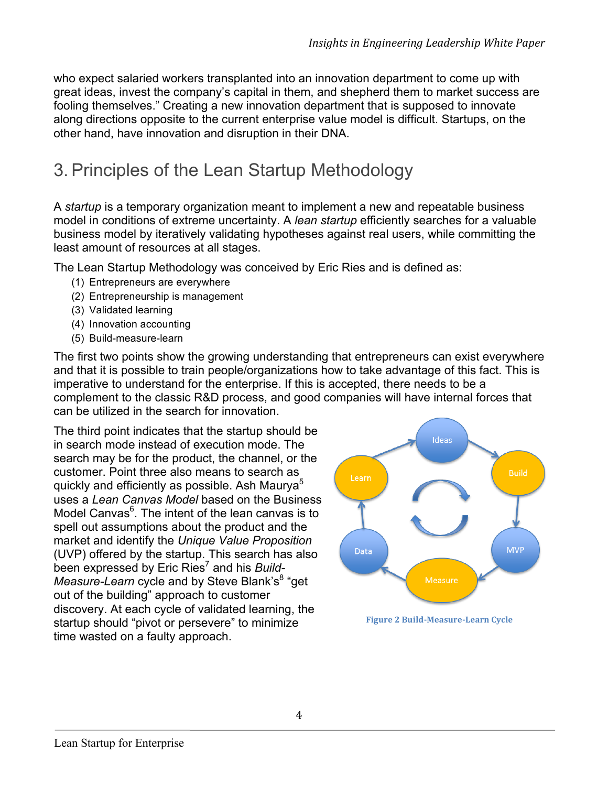who expect salaried workers transplanted into an innovation department to come up with great ideas, invest the company's capital in them, and shepherd them to market success are fooling themselves." Creating a new innovation department that is supposed to innovate along directions opposite to the current enterprise value model is difficult. Startups, on the other hand, have innovation and disruption in their DNA.

# 3.Principles of the Lean Startup Methodology

A *startup* is a temporary organization meant to implement a new and repeatable business model in conditions of extreme uncertainty. A *lean startup* efficiently searches for a valuable business model by iteratively validating hypotheses against real users, while committing the least amount of resources at all stages.

The Lean Startup Methodology was conceived by Eric Ries and is defined as:

- (1) Entrepreneurs are everywhere
- (2) Entrepreneurship is management
- (3) Validated learning
- (4) Innovation accounting
- (5) Build-measure-learn

The first two points show the growing understanding that entrepreneurs can exist everywhere and that it is possible to train people/organizations how to take advantage of this fact. This is imperative to understand for the enterprise. If this is accepted, there needs to be a complement to the classic R&D process, and good companies will have internal forces that can be utilized in the search for innovation.

The third point indicates that the startup should be in search mode instead of execution mode. The search may be for the product, the channel, or the customer. Point three also means to search as quickly and efficiently as possible. Ash Maurya<sup>5</sup> uses a *Lean Canvas Model* based on the Business Model Canvas<sup>6</sup>. The intent of the lean canvas is to spell out assumptions about the product and the market and identify the *Unique Value Proposition* (UVP) offered by the startup. This search has also been expressed by Eric Ries<sup>7</sup> and his *Build-Measure-Learn* cycle and by Steve Blank's<sup>8</sup> "get out of the building" approach to customer discovery. At each cycle of validated learning, the startup should "pivot or persevere" to minimize time wasted on a faulty approach.



**Figure 2 Build-Measure-Learn Cycle**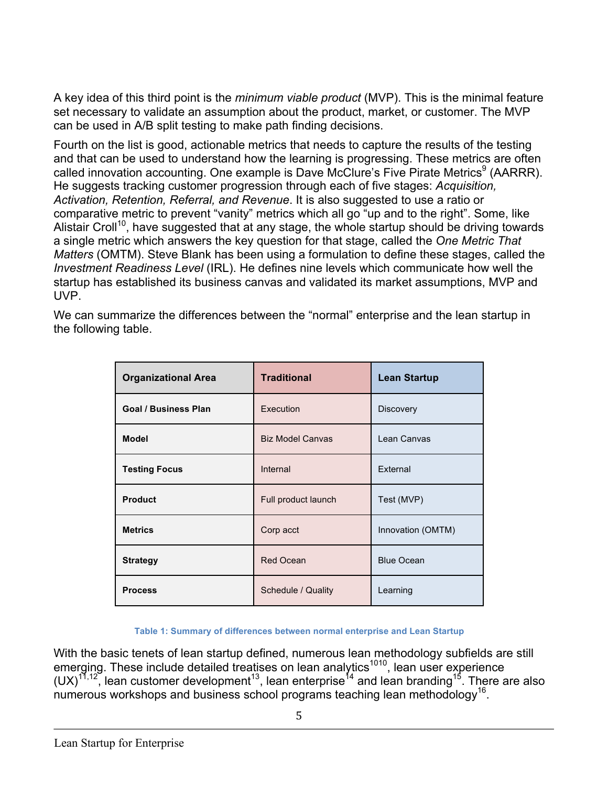A key idea of this third point is the *minimum viable product* (MVP). This is the minimal feature set necessary to validate an assumption about the product, market, or customer. The MVP can be used in A/B split testing to make path finding decisions.

Fourth on the list is good, actionable metrics that needs to capture the results of the testing and that can be used to understand how the learning is progressing. These metrics are often called innovation accounting. One example is Dave McClure's Five Pirate Metrics<sup>9</sup> (AARRR). He suggests tracking customer progression through each of five stages: *Acquisition, Activation, Retention, Referral, and Revenue*. It is also suggested to use a ratio or comparative metric to prevent "vanity" metrics which all go "up and to the right". Some, like Alistair Croll<sup>10</sup>, have suggested that at any stage, the whole startup should be driving towards a single metric which answers the key question for that stage, called the *One Metric That Matters* (OMTM). Steve Blank has been using a formulation to define these stages, called the *Investment Readiness Level* (IRL). He defines nine levels which communicate how well the startup has established its business canvas and validated its market assumptions, MVP and UVP.

We can summarize the differences between the "normal" enterprise and the lean startup in the following table.

| <b>Organizational Area</b>  | <b>Traditional</b>      | <b>Lean Startup</b> |
|-----------------------------|-------------------------|---------------------|
| <b>Goal / Business Plan</b> | Execution               | <b>Discovery</b>    |
| <b>Model</b>                | <b>Biz Model Canvas</b> | Lean Canvas         |
| <b>Testing Focus</b>        | Internal                | External            |
| <b>Product</b>              | Full product launch     | Test (MVP)          |
| <b>Metrics</b>              | Corp acct               | Innovation (OMTM)   |
| <b>Strategy</b>             | <b>Red Ocean</b>        | <b>Blue Ocean</b>   |
| <b>Process</b>              | Schedule / Quality      | Learning            |

#### **Table 1: Summary of differences between normal enterprise and Lean Startup**

With the basic tenets of lean startup defined, numerous lean methodology subfields are still emerging. These include detailed treatises on lean analytics<sup>1010</sup>, lean user experience (UX)<sup>11,12</sup>, lean customer development<sup>13</sup>, lean enterprise<sup>14</sup> and lean branding<sup>15</sup>. There are also numerous workshops and business school programs teaching lean methodology<sup>16</sup>.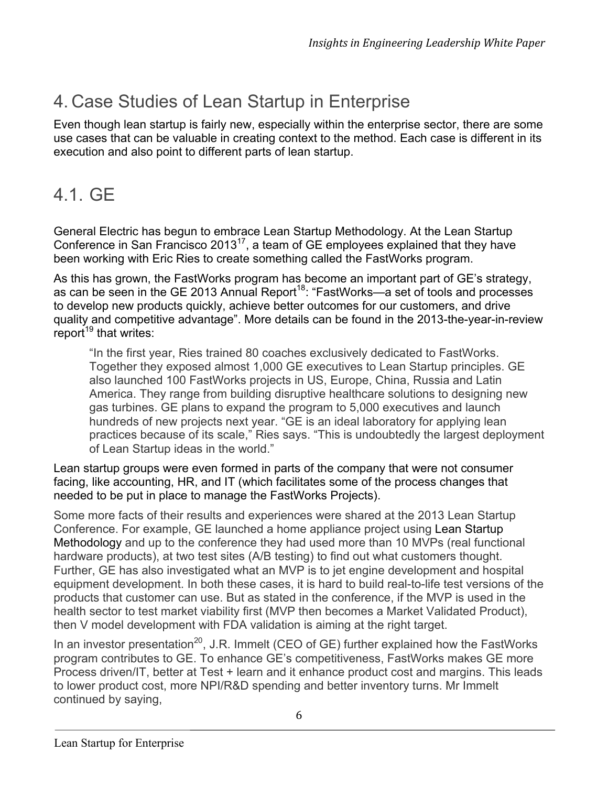# 4. Case Studies of Lean Startup in Enterprise

Even though lean startup is fairly new, especially within the enterprise sector, there are some use cases that can be valuable in creating context to the method. Each case is different in its execution and also point to different parts of lean startup.

## 4.1. GE

General Electric has begun to embrace Lean Startup Methodology. At the Lean Startup Conference in San Francisco 2013<sup>17</sup>, a team of GE employees explained that they have been working with Eric Ries to create something called the FastWorks program.

As this has grown, the FastWorks program has become an important part of GE's strategy, as can be seen in the GE 2013 Annual Report<sup>18</sup>: "FastWorks—a set of tools and processes to develop new products quickly, achieve better outcomes for our customers, and drive quality and competitive advantage". More details can be found in the 2013-the-year-in-review report<sup>19</sup> that writes:

"In the first year, Ries trained 80 coaches exclusively dedicated to FastWorks. Together they exposed almost 1,000 GE executives to Lean Startup principles. GE also launched 100 FastWorks projects in US, Europe, China, Russia and Latin America. They range from building disruptive healthcare solutions to designing new gas turbines. GE plans to expand the program to 5,000 executives and launch hundreds of new projects next year. "GE is an ideal laboratory for applying lean practices because of its scale," Ries says. "This is undoubtedly the largest deployment of Lean Startup ideas in the world."

Lean startup groups were even formed in parts of the company that were not consumer facing, like accounting, HR, and IT (which facilitates some of the process changes that needed to be put in place to manage the FastWorks Projects).

Some more facts of their results and experiences were shared at the 2013 Lean Startup Conference. For example, GE launched a home appliance project using Lean Startup Methodology and up to the conference they had used more than 10 MVPs (real functional hardware products), at two test sites (A/B testing) to find out what customers thought. Further, GE has also investigated what an MVP is to jet engine development and hospital equipment development. In both these cases, it is hard to build real-to-life test versions of the products that customer can use. But as stated in the conference, if the MVP is used in the health sector to test market viability first (MVP then becomes a Market Validated Product), then V model development with FDA validation is aiming at the right target.

In an investor presentation<sup>20</sup>, J.R. Immelt (CEO of GE) further explained how the FastWorks program contributes to GE. To enhance GE's competitiveness, FastWorks makes GE more Process driven/IT, better at Test + learn and it enhance product cost and margins. This leads to lower product cost, more NPI/R&D spending and better inventory turns. Mr Immelt continued by saying,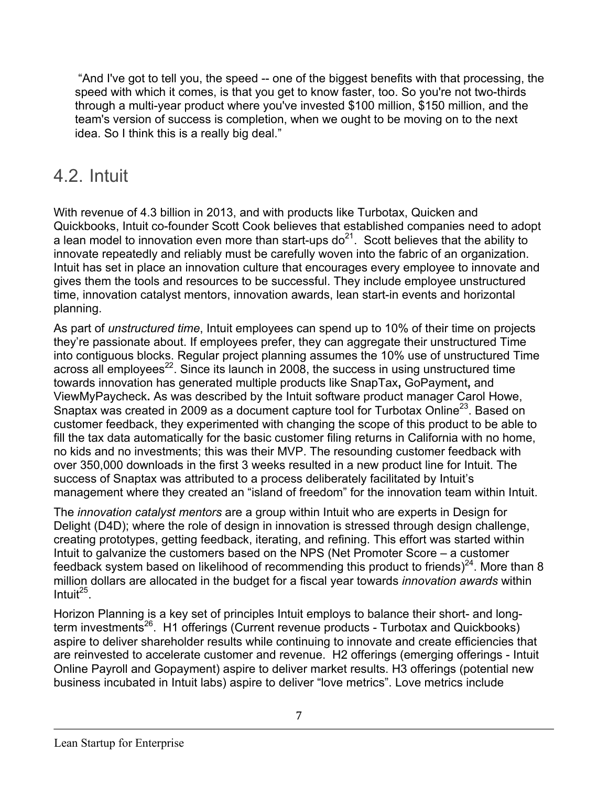"And I've got to tell you, the speed -- one of the biggest benefits with that processing, the speed with which it comes, is that you get to know faster, too. So you're not two-thirds through a multi-year product where you've invested \$100 million, \$150 million, and the team's version of success is completion, when we ought to be moving on to the next idea. So I think this is a really big deal."

### 4.2. Intuit

With revenue of 4.3 billion in 2013, and with products like Turbotax, Quicken and Quickbooks, Intuit co-founder Scott Cook believes that established companies need to adopt a lean model to innovation even more than start-ups do<sup>21</sup>. Scott believes that the ability to innovate repeatedly and reliably must be carefully woven into the fabric of an organization. Intuit has set in place an innovation culture that encourages every employee to innovate and gives them the tools and resources to be successful. They include employee unstructured time, innovation catalyst mentors, innovation awards, lean start-in events and horizontal planning.

As part of *unstructured time*, Intuit employees can spend up to 10% of their time on projects they're passionate about. If employees prefer, they can aggregate their unstructured Time into contiguous blocks. Regular project planning assumes the 10% use of unstructured Time across all employees<sup>22</sup>. Since its launch in 2008, the success in using unstructured time towards innovation has generated multiple products like SnapTax**,** GoPayment**,** and ViewMyPaycheck**.** As was described by the Intuit software product manager Carol Howe, Snaptax was created in 2009 as a document capture tool for Turbotax Online<sup>23</sup>. Based on customer feedback, they experimented with changing the scope of this product to be able to fill the tax data automatically for the basic customer filing returns in California with no home, no kids and no investments; this was their MVP. The resounding customer feedback with over 350,000 downloads in the first 3 weeks resulted in a new product line for Intuit. The success of Snaptax was attributed to a process deliberately facilitated by Intuit's management where they created an "island of freedom" for the innovation team within Intuit.

The *innovation catalyst mentors* are a group within Intuit who are experts in Design for Delight (D4D); where the role of design in innovation is stressed through design challenge, creating prototypes, getting feedback, iterating, and refining. This effort was started within Intuit to galvanize the customers based on the NPS (Net Promoter Score – a customer feedback system based on likelihood of recommending this product to friends) $^{24}$ . More than 8 million dollars are allocated in the budget for a fiscal year towards *innovation awards* within Intuit $^{25}$ .

Horizon Planning is a key set of principles Intuit employs to balance their short- and longterm investments<sup>26</sup>. H1 offerings (Current revenue products - Turbotax and Quickbooks) aspire to deliver shareholder results while continuing to innovate and create efficiencies that are reinvested to accelerate customer and revenue. H2 offerings (emerging offerings - Intuit Online Payroll and Gopayment) aspire to deliver market results. H3 offerings (potential new business incubated in Intuit labs) aspire to deliver "love metrics". Love metrics include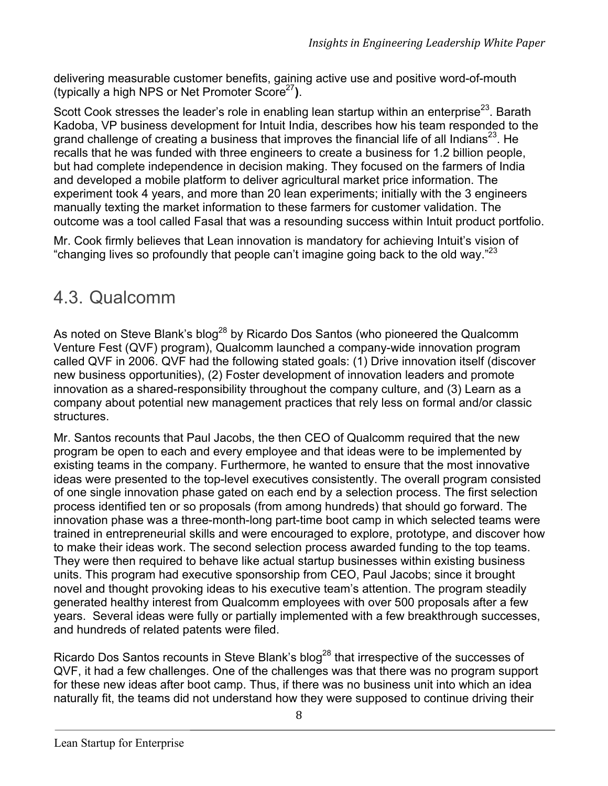delivering measurable customer benefits, gaining active use and positive word-of-mouth (typically a high NPS or Net Promoter Score27**)**.

Scott Cook stresses the leader's role in enabling lean startup within an enterprise<sup>23</sup>. Barath Kadoba, VP business development for Intuit India, describes how his team responded to the grand challenge of creating a business that improves the financial life of all Indians<sup>23</sup>. He recalls that he was funded with three engineers to create a business for 1.2 billion people, but had complete independence in decision making. They focused on the farmers of India and developed a mobile platform to deliver agricultural market price information. The experiment took 4 years, and more than 20 lean experiments; initially with the 3 engineers manually texting the market information to these farmers for customer validation. The outcome was a tool called Fasal that was a resounding success within Intuit product portfolio.

Mr. Cook firmly believes that Lean innovation is mandatory for achieving Intuit's vision of "changing lives so profoundly that people can't imagine going back to the old way." $^{23}$ 

#### 4.3. Qualcomm

As noted on Steve Blank's blog<sup>28</sup> by Ricardo Dos Santos (who pioneered the Qualcomm Venture Fest (QVF) program), Qualcomm launched a company-wide innovation program called QVF in 2006. QVF had the following stated goals: (1) Drive innovation itself (discover new business opportunities), (2) Foster development of innovation leaders and promote innovation as a shared-responsibility throughout the company culture, and (3) Learn as a company about potential new management practices that rely less on formal and/or classic structures.

Mr. Santos recounts that Paul Jacobs, the then CEO of Qualcomm required that the new program be open to each and every employee and that ideas were to be implemented by existing teams in the company. Furthermore, he wanted to ensure that the most innovative ideas were presented to the top-level executives consistently. The overall program consisted of one single innovation phase gated on each end by a selection process. The first selection process identified ten or so proposals (from among hundreds) that should go forward. The innovation phase was a three-month-long part-time boot camp in which selected teams were trained in entrepreneurial skills and were encouraged to explore, prototype, and discover how to make their ideas work. The second selection process awarded funding to the top teams. They were then required to behave like actual startup businesses within existing business units. This program had executive sponsorship from CEO, Paul Jacobs; since it brought novel and thought provoking ideas to his executive team's attention. The program steadily generated healthy interest from Qualcomm employees with over 500 proposals after a few years. Several ideas were fully or partially implemented with a few breakthrough successes, and hundreds of related patents were filed.

Ricardo Dos Santos recounts in Steve Blank's blog<sup>28</sup> that irrespective of the successes of QVF, it had a few challenges. One of the challenges was that there was no program support for these new ideas after boot camp. Thus, if there was no business unit into which an idea naturally fit, the teams did not understand how they were supposed to continue driving their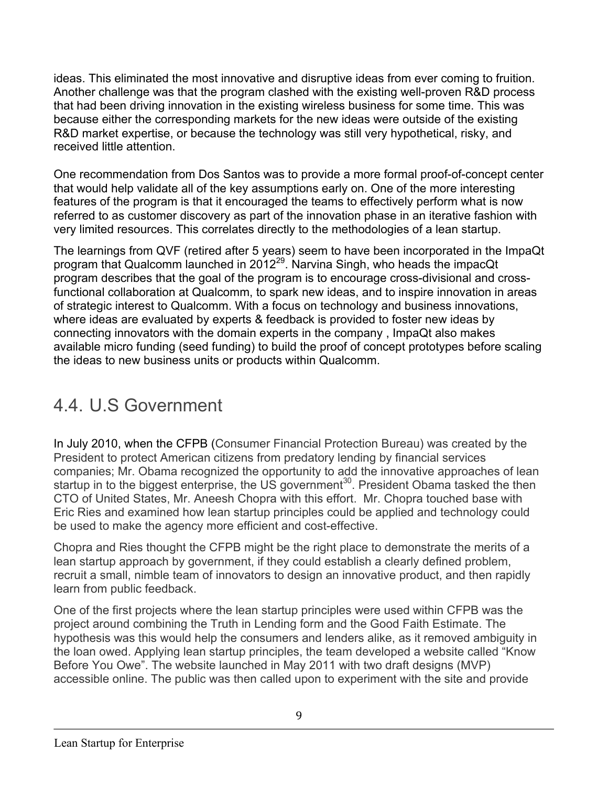ideas. This eliminated the most innovative and disruptive ideas from ever coming to fruition. Another challenge was that the program clashed with the existing well-proven R&D process that had been driving innovation in the existing wireless business for some time. This was because either the corresponding markets for the new ideas were outside of the existing R&D market expertise, or because the technology was still very hypothetical, risky, and received little attention.

One recommendation from Dos Santos was to provide a more formal proof-of-concept center that would help validate all of the key assumptions early on. One of the more interesting features of the program is that it encouraged the teams to effectively perform what is now referred to as customer discovery as part of the innovation phase in an iterative fashion with very limited resources. This correlates directly to the methodologies of a lean startup.

The learnings from QVF (retired after 5 years) seem to have been incorporated in the ImpaQt program that Qualcomm launched in 2012<sup>29</sup>. Narvina Singh, who heads the impacQt program describes that the goal of the program is to encourage cross-divisional and crossfunctional collaboration at Qualcomm, to spark new ideas, and to inspire innovation in areas of strategic interest to Qualcomm. With a focus on technology and business innovations, where ideas are evaluated by experts & feedback is provided to foster new ideas by connecting innovators with the domain experts in the company , ImpaQt also makes available micro funding (seed funding) to build the proof of concept prototypes before scaling the ideas to new business units or products within Qualcomm.

# 4.4. U.S Government

In July 2010, when the CFPB (Consumer Financial Protection Bureau) was created by the President to protect American citizens from predatory lending by financial services companies; Mr. Obama recognized the opportunity to add the innovative approaches of lean startup in to the biggest enterprise, the US government<sup>30</sup>. President Obama tasked the then CTO of United States, Mr. Aneesh Chopra with this effort. Mr. Chopra touched base with Eric Ries and examined how lean startup principles could be applied and technology could be used to make the agency more efficient and cost-effective.

Chopra and Ries thought the CFPB might be the right place to demonstrate the merits of a lean startup approach by government, if they could establish a clearly defined problem, recruit a small, nimble team of innovators to design an innovative product, and then rapidly learn from public feedback.

One of the first projects where the lean startup principles were used within CFPB was the project around combining the Truth in Lending form and the Good Faith Estimate. The hypothesis was this would help the consumers and lenders alike, as it removed ambiguity in the loan owed. Applying lean startup principles, the team developed a website called "Know Before You Owe". The website launched in May 2011 with two draft designs (MVP) accessible online. The public was then called upon to experiment with the site and provide

9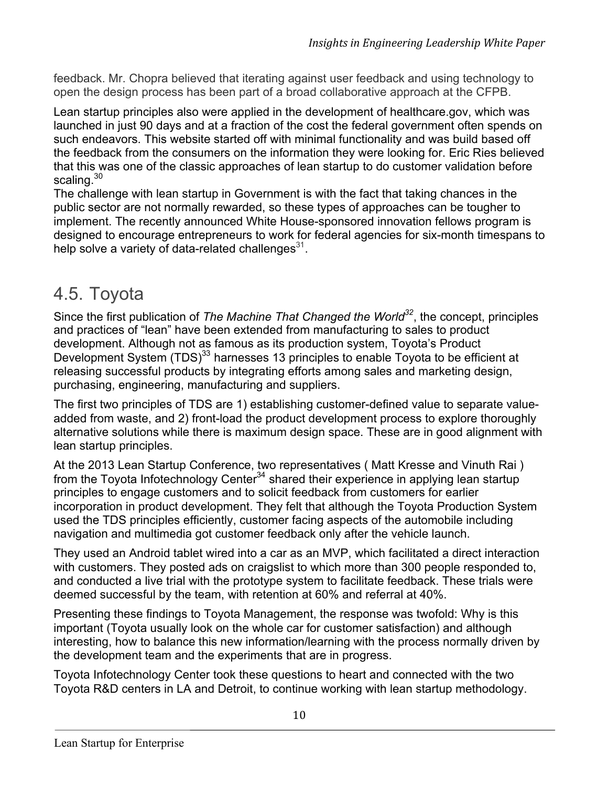feedback. Mr. Chopra believed that iterating against user feedback and using technology to open the design process has been part of a broad collaborative approach at the CFPB.

Lean startup principles also were applied in the development of healthcare.gov, which was launched in just 90 days and at a fraction of the cost the federal government often spends on such endeavors. This website started off with minimal functionality and was build based off the feedback from the consumers on the information they were looking for. Eric Ries believed that this was one of the classic approaches of lean startup to do customer validation before scaling.<sup>30</sup>

The challenge with lean startup in Government is with the fact that taking chances in the public sector are not normally rewarded, so these types of approaches can be tougher to implement. The recently announced White House-sponsored innovation fellows program is designed to encourage entrepreneurs to work for federal agencies for six-month timespans to help solve a variety of data-related challenges $31$ .

### 4.5. Toyota

Since the first publication of *The Machine That Changed the World32*, the concept, principles and practices of "lean" have been extended from manufacturing to sales to product development. Although not as famous as its production system, Toyota's Product Development System (TDS)<sup>33</sup> harnesses 13 principles to enable Toyota to be efficient at releasing successful products by integrating efforts among sales and marketing design, purchasing, engineering, manufacturing and suppliers.

The first two principles of TDS are 1) establishing customer-defined value to separate valueadded from waste, and 2) front-load the product development process to explore thoroughly alternative solutions while there is maximum design space. These are in good alignment with lean startup principles.

At the 2013 Lean Startup Conference, two representatives ( Matt Kresse and Vinuth Rai ) from the Toyota Infotechnology Center<sup>34</sup> shared their experience in applying lean startup principles to engage customers and to solicit feedback from customers for earlier incorporation in product development. They felt that although the Toyota Production System used the TDS principles efficiently, customer facing aspects of the automobile including navigation and multimedia got customer feedback only after the vehicle launch.

They used an Android tablet wired into a car as an MVP, which facilitated a direct interaction with customers. They posted ads on craigslist to which more than 300 people responded to, and conducted a live trial with the prototype system to facilitate feedback. These trials were deemed successful by the team, with retention at 60% and referral at 40%.

Presenting these findings to Toyota Management, the response was twofold: Why is this important (Toyota usually look on the whole car for customer satisfaction) and although interesting, how to balance this new information/learning with the process normally driven by the development team and the experiments that are in progress.

Toyota Infotechnology Center took these questions to heart and connected with the two Toyota R&D centers in LA and Detroit, to continue working with lean startup methodology.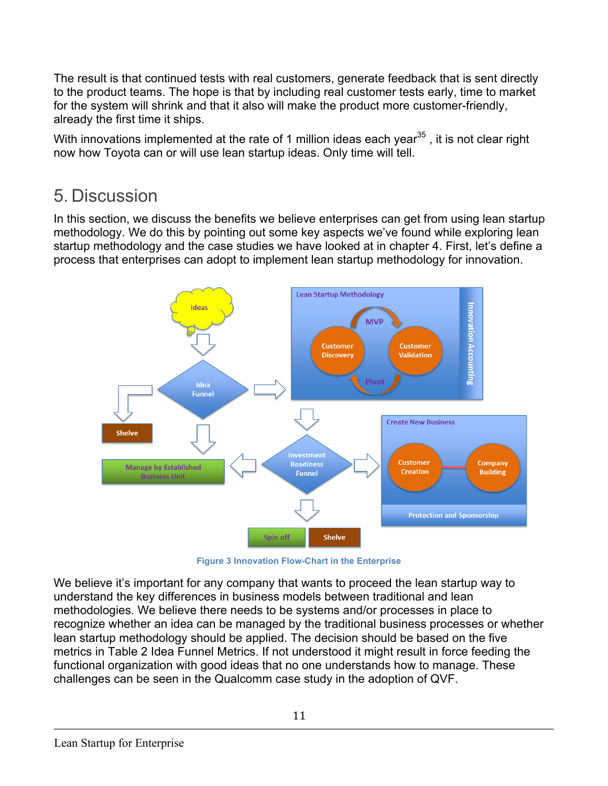The result is that continued tests with real customers, generate feedback that is sent directly to the product teams. The hope is that by including real customer tests early, time to market for the system will shrink and that it also will make the product more customer-friendly, already the first time it ships.

With innovations implemented at the rate of 1 million ideas each year $35$ , it is not clear right now how Toyota can or will use lean startup ideas. Only time will tell.

## 5. Discussion

In this section, we discuss the benefits we believe enterprises can get from using lean startup methodology. We do this by pointing out some key aspects we've found while exploring lean startup methodology and the case studies we have looked at in chapter 4. First, let's define a process that enterprises can adopt to implement lean startup methodology for innovation.



**Figure 3 Innovation Flow-Chart in the Enterprise**

We believe it's important for any company that wants to proceed the lean startup way to understand the key differences in business models between traditional and lean methodologies. We believe there needs to be systems and/or processes in place to recognize whether an idea can be managed by the traditional business processes or whether lean startup methodology should be applied. The decision should be based on the five metrics in Table 2 Idea Funnel Metrics. If not understood it might result in force feeding the functional organization with good ideas that no one understands how to manage. These challenges can be seen in the Qualcomm case study in the adoption of QVF.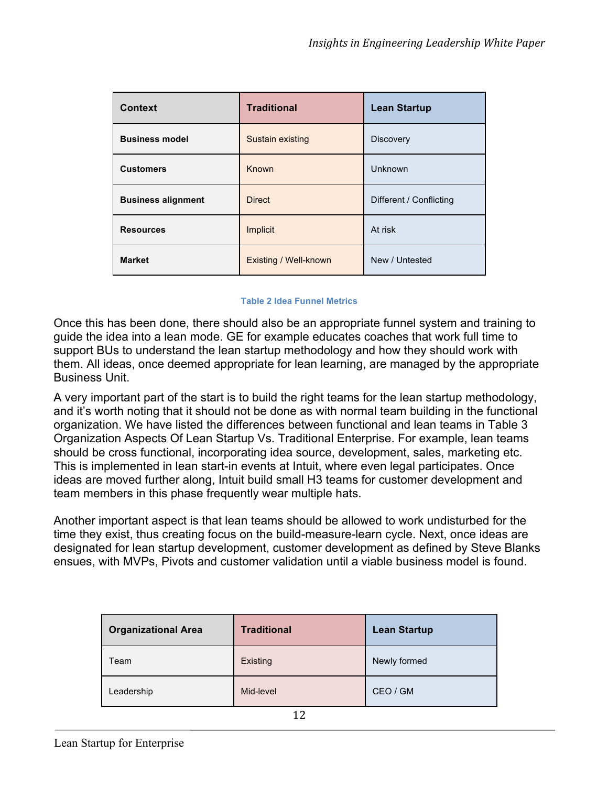| <b>Context</b>            | <b>Traditional</b>    | <b>Lean Startup</b>     |
|---------------------------|-----------------------|-------------------------|
| <b>Business model</b>     | Sustain existing      | <b>Discovery</b>        |
| <b>Customers</b>          | Known                 | Unknown                 |
| <b>Business alignment</b> | <b>Direct</b>         | Different / Conflicting |
| <b>Resources</b>          | Implicit              | At risk                 |
| <b>Market</b>             | Existing / Well-known | New / Untested          |

#### **Table 2 Idea Funnel Metrics**

Once this has been done, there should also be an appropriate funnel system and training to guide the idea into a lean mode. GE for example educates coaches that work full time to support BUs to understand the lean startup methodology and how they should work with them. All ideas, once deemed appropriate for lean learning, are managed by the appropriate Business Unit.

A very important part of the start is to build the right teams for the lean startup methodology, and it's worth noting that it should not be done as with normal team building in the functional organization. We have listed the differences between functional and lean teams in Table 3 Organization Aspects Of Lean Startup Vs. Traditional Enterprise. For example, lean teams should be cross functional, incorporating idea source, development, sales, marketing etc. This is implemented in lean start-in events at Intuit, where even legal participates. Once ideas are moved further along, Intuit build small H3 teams for customer development and team members in this phase frequently wear multiple hats.

Another important aspect is that lean teams should be allowed to work undisturbed for the time they exist, thus creating focus on the build-measure-learn cycle. Next, once ideas are designated for lean startup development, customer development as defined by Steve Blanks ensues, with MVPs, Pivots and customer validation until a viable business model is found.

| <b>Organizational Area</b> | <b>Traditional</b> | <b>Lean Startup</b> |
|----------------------------|--------------------|---------------------|
| Team                       | Existing           | Newly formed        |
| Leadership                 | Mid-level          | CEO / GM            |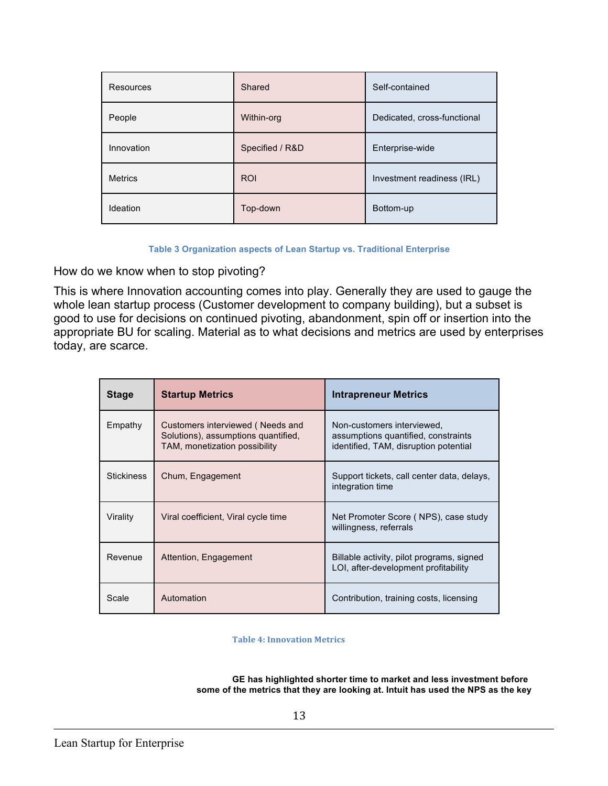| Resources      | Shared          | Self-contained              |
|----------------|-----------------|-----------------------------|
| People         | Within-org      | Dedicated, cross-functional |
| Innovation     | Specified / R&D | Enterprise-wide             |
| <b>Metrics</b> | <b>ROI</b>      | Investment readiness (IRL)  |
| Ideation       | Top-down        | Bottom-up                   |

**Table 3 Organization aspects of Lean Startup vs. Traditional Enterprise**

How do we know when to stop pivoting?

This is where Innovation accounting comes into play. Generally they are used to gauge the whole lean startup process (Customer development to company building), but a subset is good to use for decisions on continued pivoting, abandonment, spin off or insertion into the appropriate BU for scaling. Material as to what decisions and metrics are used by enterprises today, are scarce.

| <b>Stage</b>      | <b>Startup Metrics</b>                                                                                   | <b>Intrapreneur Metrics</b>                                                                                |
|-------------------|----------------------------------------------------------------------------------------------------------|------------------------------------------------------------------------------------------------------------|
| Empathy           | Customers interviewed (Needs and<br>Solutions), assumptions quantified,<br>TAM, monetization possibility | Non-customers interviewed,<br>assumptions quantified, constraints<br>identified, TAM, disruption potential |
| <b>Stickiness</b> | Chum, Engagement                                                                                         | Support tickets, call center data, delays,<br>integration time                                             |
| Virality          | Viral coefficient, Viral cycle time                                                                      | Net Promoter Score (NPS), case study<br>willingness, referrals                                             |
| Revenue           | Attention, Engagement                                                                                    | Billable activity, pilot programs, signed<br>LOI, after-development profitability                          |
| Scale             | Automation                                                                                               | Contribution, training costs, licensing                                                                    |

**Table 4: Innovation Metrics** 

**GE has highlighted shorter time to market and less investment before some of the metrics that they are looking at. Intuit has used the NPS as the key**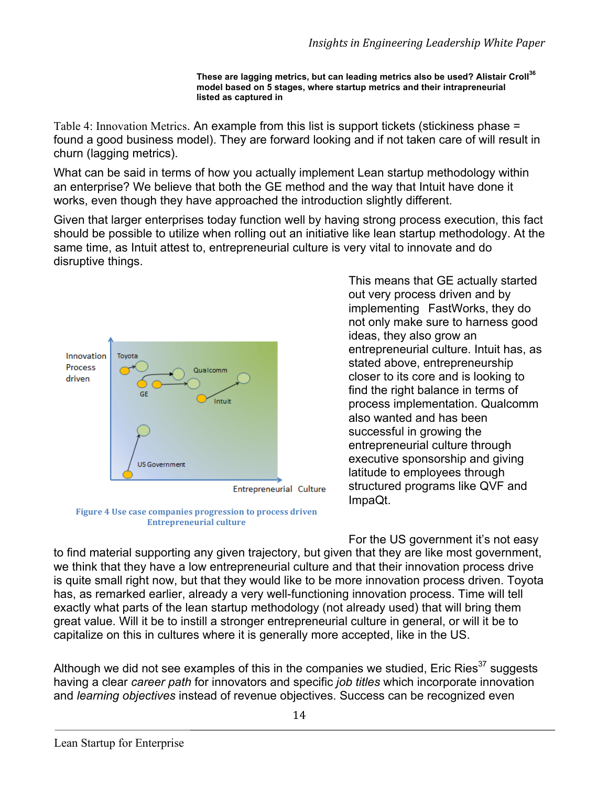**These are lagging metrics, but can leading metrics also be used? Alistair Croll<sup>36</sup> model based on 5 stages, where startup metrics and their intrapreneurial listed as captured in** 

Table 4: Innovation Metrics. An example from this list is support tickets (stickiness phase = found a good business model). They are forward looking and if not taken care of will result in churn (lagging metrics).

What can be said in terms of how you actually implement Lean startup methodology within an enterprise? We believe that both the GE method and the way that Intuit have done it works, even though they have approached the introduction slightly different.

Given that larger enterprises today function well by having strong process execution, this fact should be possible to utilize when rolling out an initiative like lean startup methodology. At the same time, as Intuit attest to, entrepreneurial culture is very vital to innovate and do disruptive things.



Figure 4 Use case companies progression to process driven **Entrepreneurial culture** 

This means that GE actually started out very process driven and by implementing FastWorks, they do not only make sure to harness good ideas, they also grow an entrepreneurial culture. Intuit has, as stated above, entrepreneurship closer to its core and is looking to find the right balance in terms of process implementation. Qualcomm also wanted and has been successful in growing the entrepreneurial culture through executive sponsorship and giving latitude to employees through structured programs like QVF and ImpaQt.

For the US government it's not easy to find material supporting any given trajectory, but given that they are like most government, we think that they have a low entrepreneurial culture and that their innovation process drive is quite small right now, but that they would like to be more innovation process driven. Toyota has, as remarked earlier, already a very well-functioning innovation process. Time will tell exactly what parts of the lean startup methodology (not already used) that will bring them great value. Will it be to instill a stronger entrepreneurial culture in general, or will it be to capitalize on this in cultures where it is generally more accepted, like in the US.

Although we did not see examples of this in the companies we studied. Eric Ries<sup>37</sup> suggests having a clear *career path* for innovators and specific *job titles* which incorporate innovation and *learning objectives* instead of revenue objectives. Success can be recognized even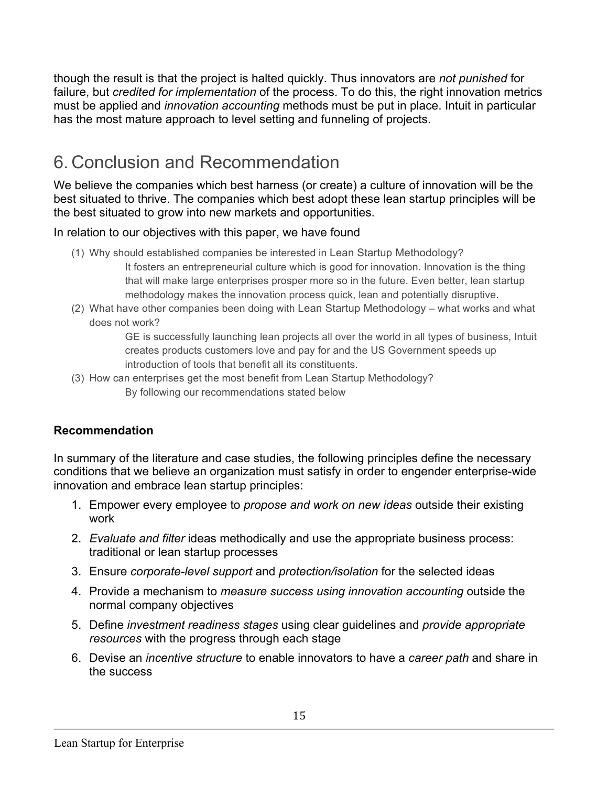though the result is that the project is halted quickly. Thus innovators are *not punished* for failure, but *credited for implementation* of the process. To do this, the right innovation metrics must be applied and *innovation accounting* methods must be put in place. Intuit in particular has the most mature approach to level setting and funneling of projects.

## 6. Conclusion and Recommendation

We believe the companies which best harness (or create) a culture of innovation will be the best situated to thrive. The companies which best adopt these lean startup principles will be the best situated to grow into new markets and opportunities.

In relation to our objectives with this paper, we have found

- (1) Why should established companies be interested in Lean Startup Methodology? It fosters an entrepreneurial culture which is good for innovation. Innovation is the thing that will make large enterprises prosper more so in the future. Even better, lean startup methodology makes the innovation process quick, lean and potentially disruptive.
- (2) What have other companies been doing with Lean Startup Methodology what works and what does not work?

GE is successfully launching lean projects all over the world in all types of business, Intuit creates products customers love and pay for and the US Government speeds up introduction of tools that benefit all its constituents.

(3) How can enterprises get the most benefit from Lean Startup Methodology? By following our recommendations stated below

#### **Recommendation**

In summary of the literature and case studies, the following principles define the necessary conditions that we believe an organization must satisfy in order to engender enterprise-wide innovation and embrace lean startup principles:

- 1. Empower every employee to *propose and work on new ideas* outside their existing work
- 2. *Evaluate and filter* ideas methodically and use the appropriate business process: traditional or lean startup processes
- 3. Ensure *corporate-level support* and *protection/isolation* for the selected ideas
- 4. Provide a mechanism to *measure success using innovation accounting* outside the normal company objectives
- 5. Define *investment readiness stages* using clear guidelines and *provide appropriate resources* with the progress through each stage
- 6. Devise an *incentive structure* to enable innovators to have a *career path* and share in the success